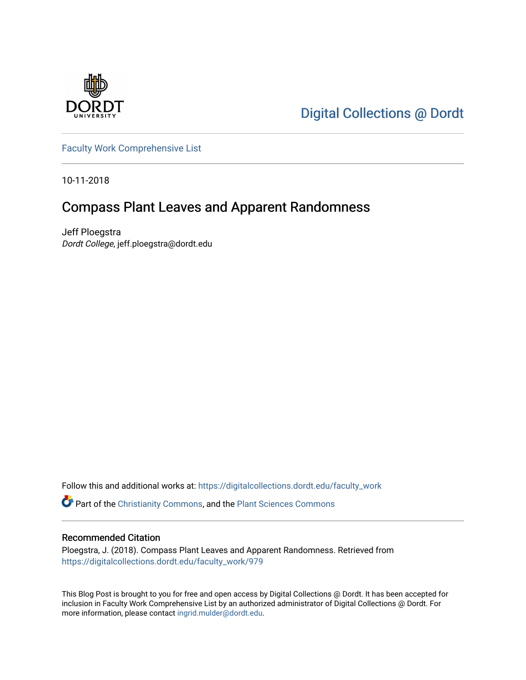

[Digital Collections @ Dordt](https://digitalcollections.dordt.edu/) 

[Faculty Work Comprehensive List](https://digitalcollections.dordt.edu/faculty_work)

10-11-2018

## Compass Plant Leaves and Apparent Randomness

Jeff Ploegstra Dordt College, jeff.ploegstra@dordt.edu

Follow this and additional works at: [https://digitalcollections.dordt.edu/faculty\\_work](https://digitalcollections.dordt.edu/faculty_work?utm_source=digitalcollections.dordt.edu%2Ffaculty_work%2F979&utm_medium=PDF&utm_campaign=PDFCoverPages) 

Part of the [Christianity Commons,](http://network.bepress.com/hgg/discipline/1181?utm_source=digitalcollections.dordt.edu%2Ffaculty_work%2F979&utm_medium=PDF&utm_campaign=PDFCoverPages) and the [Plant Sciences Commons](http://network.bepress.com/hgg/discipline/102?utm_source=digitalcollections.dordt.edu%2Ffaculty_work%2F979&utm_medium=PDF&utm_campaign=PDFCoverPages) 

#### Recommended Citation

Ploegstra, J. (2018). Compass Plant Leaves and Apparent Randomness. Retrieved from [https://digitalcollections.dordt.edu/faculty\\_work/979](https://digitalcollections.dordt.edu/faculty_work/979?utm_source=digitalcollections.dordt.edu%2Ffaculty_work%2F979&utm_medium=PDF&utm_campaign=PDFCoverPages) 

This Blog Post is brought to you for free and open access by Digital Collections @ Dordt. It has been accepted for inclusion in Faculty Work Comprehensive List by an authorized administrator of Digital Collections @ Dordt. For more information, please contact [ingrid.mulder@dordt.edu.](mailto:ingrid.mulder@dordt.edu)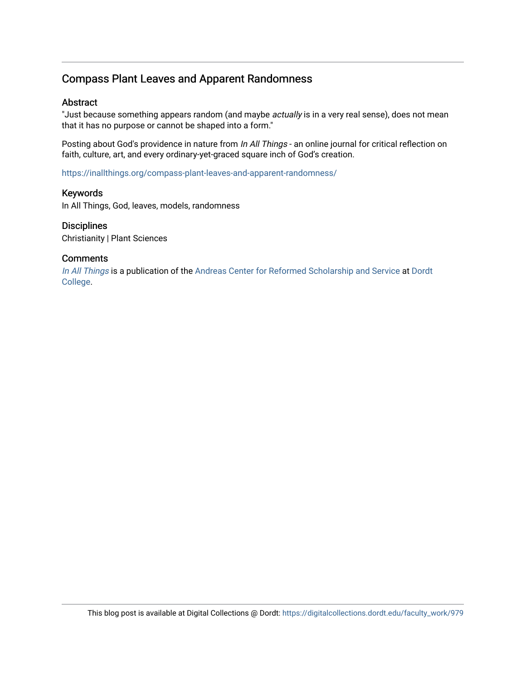### Compass Plant Leaves and Apparent Randomness

#### Abstract

"Just because something appears random (and maybe actually is in a very real sense), does not mean that it has no purpose or cannot be shaped into a form."

Posting about God's providence in nature from In All Things - an online journal for critical reflection on faith, culture, art, and every ordinary-yet-graced square inch of God's creation.

<https://inallthings.org/compass-plant-leaves-and-apparent-randomness/>

#### Keywords

In All Things, God, leaves, models, randomness

#### **Disciplines**

Christianity | Plant Sciences

#### **Comments**

[In All Things](http://inallthings.org/) is a publication of the [Andreas Center for Reformed Scholarship and Service](http://www.dordt.edu/services_support/andreas_center/) at Dordt [College](http://www.dordt.edu/).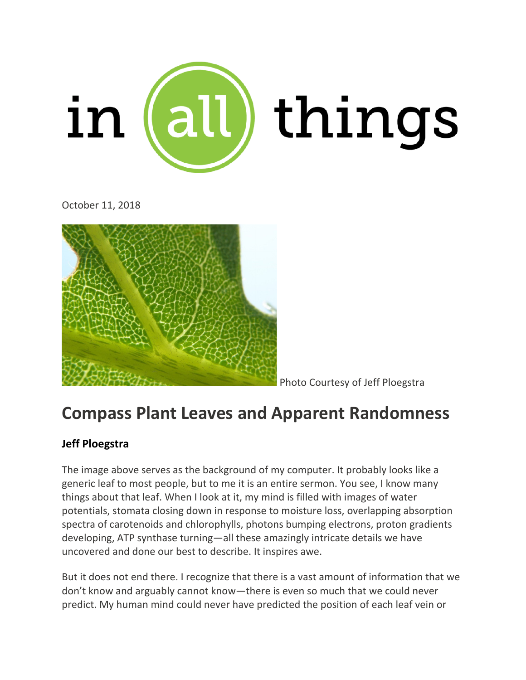

October 11, 2018



Photo Courtesy of Jeff Ploegstra

# **Compass Plant Leaves and Apparent Randomness**

## **Jeff [Ploegstra](https://inallthings.org/contributor/jeff-ploegstra/)**

The image above serves as the background of my computer. It probably looks like a generic leaf to most people, but to me it is an entire sermon. You see, I know many things about that leaf. When I look at it, my mind is filled with images of water potentials, stomata closing down in response to moisture loss, overlapping absorption spectra of carotenoids and chlorophylls, photons bumping electrons, proton gradients developing, ATP synthase turning—all these amazingly intricate details we have uncovered and done our best to describe. It inspires awe.

But it does not end there. I recognize that there is a vast amount of information that we don't know and arguably cannot know—there is even so much that we could never predict. My human mind could never have predicted the position of each leaf vein or